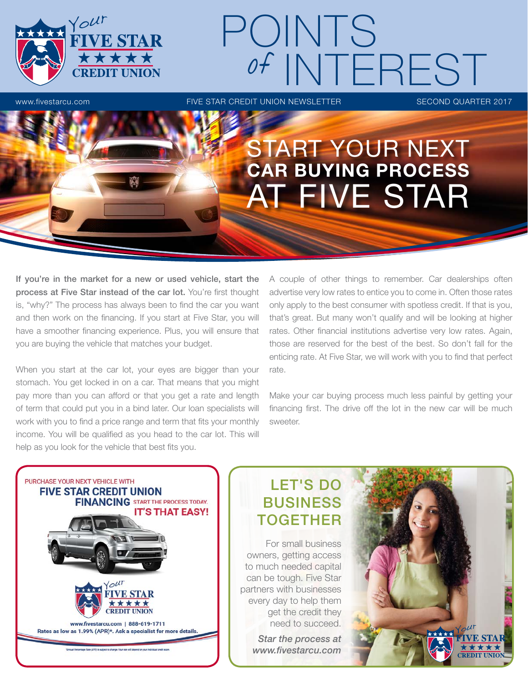

# www.fivestarcu.com **FIVE STAR CREDIT UNION NEWSLETTER** SECOND QUARTER 2017 POINTS of INTEREST

## START YOUR NEXT CAR BUYING PROCESS AT FIVE STAR

If you're in the market for a new or used vehicle, start the process at Five Star instead of the car lot. You're first thought is, "why?" The process has always been to find the car you want and then work on the financing. If you start at Five Star, you will have a smoother financing experience. Plus, you will ensure that you are buying the vehicle that matches your budget.

When you start at the car lot, your eyes are bigger than your stomach. You get locked in on a car. That means that you might pay more than you can afford or that you get a rate and length of term that could put you in a bind later. Our loan specialists will work with you to find a price range and term that fits your monthly income. You will be qualified as you head to the car lot. This will help as you look for the vehicle that best fits you.

A couple of other things to remember. Car dealerships often advertise very low rates to entice you to come in. Often those rates only apply to the best consumer with spotless credit. If that is you, that's great. But many won't qualify and will be looking at higher rates. Other financial institutions advertise very low rates. Again, those are reserved for the best of the best. So don't fall for the enticing rate. At Five Star, we will work with you to find that perfect rate.

Make your car buying process much less painful by getting your financing first. The drive off the lot in the new car will be much sweeter.



### LET'S DO BUSINESS TOGETHER

For small business owners, getting access to much needed capital can be tough. Five Star partners with businesses every day to help them get the credit they need to succeed.

> *Star the process at www.fivestarcu.com*